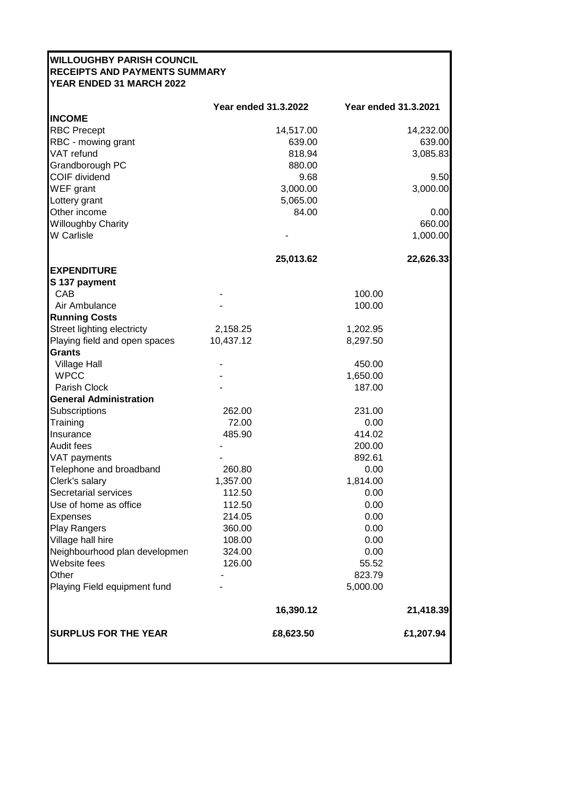| <b>WILLOUGHBY PARISH COUNCIL</b><br><b>RECEIPTS AND PAYMENTS SUMMARY</b><br>YEAR ENDED 31 MARCH 2022 |                             |                             |           |
|------------------------------------------------------------------------------------------------------|-----------------------------|-----------------------------|-----------|
|                                                                                                      | <b>Year ended 31.3.2022</b> | <b>Year ended 31.3.2021</b> |           |
| <b>INCOME</b>                                                                                        |                             |                             |           |
| <b>RBC Precept</b>                                                                                   | 14,517.00                   |                             | 14,232.00 |
| RBC - mowing grant                                                                                   | 639.00                      |                             | 639.00    |
| VAT refund                                                                                           | 818.94                      |                             | 3,085.83  |
| Grandborough PC                                                                                      | 880.00                      |                             |           |
| COIF dividend                                                                                        | 9.68                        |                             | 9.50      |
| WEF grant                                                                                            | 3,000.00                    |                             | 3,000.00  |
| Lottery grant                                                                                        | 5,065.00                    |                             |           |
| Other income                                                                                         | 84.00                       |                             | 0.00      |
| <b>Willoughby Charity</b>                                                                            |                             |                             | 660.00    |
| <b>W</b> Carlisle                                                                                    |                             |                             | 1,000.00  |
|                                                                                                      | 25,013.62                   |                             | 22,626.33 |
| <b>EXPENDITURE</b>                                                                                   |                             |                             |           |
| S 137 payment                                                                                        |                             |                             |           |
| CAB                                                                                                  |                             | 100.00                      |           |
| Air Ambulance                                                                                        |                             | 100.00                      |           |
| <b>Running Costs</b>                                                                                 |                             |                             |           |
| Street lighting electricty                                                                           | 2,158.25                    | 1,202.95                    |           |
| Playing field and open spaces<br><b>Grants</b>                                                       | 10,437.12                   | 8,297.50                    |           |
| <b>Village Hall</b>                                                                                  |                             | 450.00                      |           |
| <b>WPCC</b>                                                                                          |                             | 1,650.00                    |           |
| Parish Clock                                                                                         |                             | 187.00                      |           |
| <b>General Administration</b>                                                                        |                             |                             |           |
| Subscriptions                                                                                        | 262.00                      | 231.00                      |           |
| Training                                                                                             | 72.00                       | 0.00                        |           |
| Insurance                                                                                            | 485.90                      | 414.02                      |           |
| Audit fees                                                                                           |                             | 200.00                      |           |
| VAT payments                                                                                         |                             | 892.61                      |           |
| Telephone and broadband                                                                              | 260.80                      | 0.00                        |           |
| Clerk's salary                                                                                       | 1,357.00                    | 1,814.00                    |           |
| Secretarial services                                                                                 | 112.50                      | 0.00                        |           |
| Use of home as office                                                                                | 112.50<br>214.05            | 0.00<br>0.00                |           |
| <b>Expenses</b><br><b>Play Rangers</b>                                                               | 360.00                      | 0.00                        |           |
| Village hall hire                                                                                    | 108.00                      | 0.00                        |           |
| Neighbourhood plan developmen                                                                        | 324.00                      | 0.00                        |           |
| Website fees                                                                                         | 126.00                      | 55.52                       |           |
| Other                                                                                                |                             | 823.79                      |           |
| Playing Field equipment fund                                                                         |                             | 5,000.00                    |           |
|                                                                                                      | 16,390.12                   |                             | 21,418.39 |
| <b>SURPLUS FOR THE YEAR</b>                                                                          | £8,623.50                   |                             | £1,207.94 |